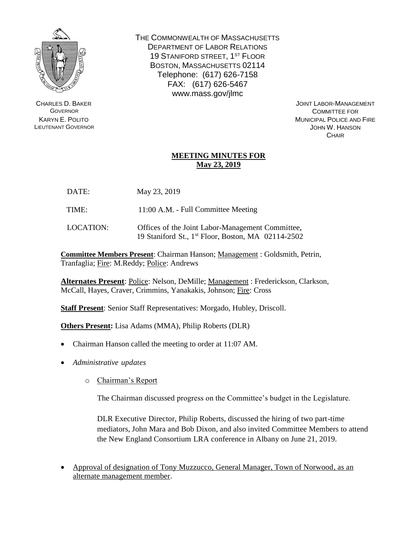

CHARLES D. BAKER **GOVERNOR** KARYN E. POLITO LIEUTENANT GOVERNOR THE COMMONWEALTH OF MASSACHUSETTS DEPARTMENT OF LABOR RELATIONS 19 STANIFORD STREET, 1<sup>ST</sup> FLOOR BOSTON, MASSACHUSETTS 02114 Telephone: (617) 626-7158 FAX: (617) 626-5467 www.mass.gov/jlmc

> JOINT LABOR-MANAGEMENT COMMITTEE FOR MUNICIPAL POLICE AND FIRE JOHN W. HANSON **CHAIR**

## **MEETING MINUTES FOR May 23, 2019**

- DATE: May 23, 2019
- TIME: 11:00 A.M. Full Committee Meeting
- LOCATION: Offices of the Joint Labor-Management Committee, 19 Staniford St., 1 st Floor, Boston, MA 02114-2502

**Committee Members Present**: Chairman Hanson; Management : Goldsmith, Petrin, Tranfaglia; Fire: M.Reddy; Police: Andrews

**Alternates Present**: Police: Nelson, DeMille; Management : Frederickson, Clarkson, McCall, Hayes, Craver, Crimmins, Yanakakis, Johnson; Fire: Cross

**Staff Present**: Senior Staff Representatives: Morgado, Hubley, Driscoll.

**Others Present:** Lisa Adams (MMA), Philip Roberts (DLR)

- Chairman Hanson called the meeting to order at 11:07 AM.
- *Administrative updates*
	- o Chairman's Report

The Chairman discussed progress on the Committee's budget in the Legislature.

DLR Executive Director, Philip Roberts, discussed the hiring of two part-time mediators, John Mara and Bob Dixon, and also invited Committee Members to attend the New England Consortium LRA conference in Albany on June 21, 2019.

• Approval of designation of Tony Muzzucco, General Manager, Town of Norwood, as an alternate management member.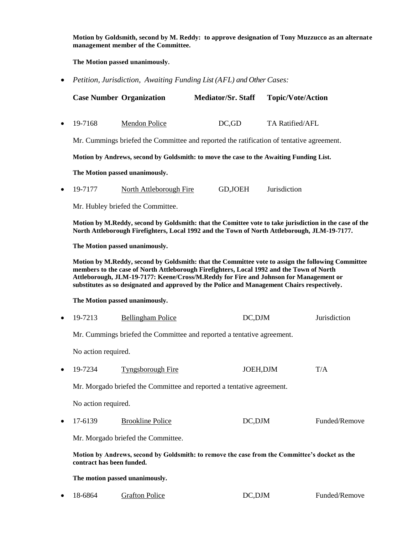**Motion by Goldsmith, second by M. Reddy: to approve designation of Tony Muzzucco as an alternate management member of the Committee.**

**The Motion passed unanimously.**

• *Petition, Jurisdiction, Awaiting Funding List (AFL) and Other Cases:*

|                                                                                                                                                                                                                                                                                                                                                                                       | <b>Case Number Organization</b>   | <b>Mediator/Sr. Staff</b>                                                                | <b>Topic/Vote/Action</b> |               |
|---------------------------------------------------------------------------------------------------------------------------------------------------------------------------------------------------------------------------------------------------------------------------------------------------------------------------------------------------------------------------------------|-----------------------------------|------------------------------------------------------------------------------------------|--------------------------|---------------|
| 19-7168                                                                                                                                                                                                                                                                                                                                                                               | Mendon Police                     | DC, GD                                                                                   | TA Ratified/AFL          |               |
|                                                                                                                                                                                                                                                                                                                                                                                       |                                   | Mr. Cummings briefed the Committee and reported the ratification of tentative agreement. |                          |               |
| Motion by Andrews, second by Goldsmith: to move the case to the Awaiting Funding List.                                                                                                                                                                                                                                                                                                |                                   |                                                                                          |                          |               |
| The Motion passed unanimously.                                                                                                                                                                                                                                                                                                                                                        |                                   |                                                                                          |                          |               |
| 19-7177                                                                                                                                                                                                                                                                                                                                                                               | <b>North Attleborough Fire</b>    | GD, JOEH                                                                                 | Jurisdiction             |               |
|                                                                                                                                                                                                                                                                                                                                                                                       | Mr. Hubley briefed the Committee. |                                                                                          |                          |               |
| Motion by M.Reddy, second by Goldsmith: that the Comittee vote to take jurisdiction in the case of the<br>North Attleborough Firefighters, Local 1992 and the Town of North Attleborough, JLM-19-7177.                                                                                                                                                                                |                                   |                                                                                          |                          |               |
| The Motion passed unanimously.                                                                                                                                                                                                                                                                                                                                                        |                                   |                                                                                          |                          |               |
| Motion by M.Reddy, second by Goldsmith: that the Committee vote to assign the following Committee<br>members to the case of North Attleborough Firefighters, Local 1992 and the Town of North<br>Attleborough, JLM-19-7177: Keene/Cross/M.Reddy for Fire and Johnson for Management or<br>substitutes as so designated and approved by the Police and Management Chairs respectively. |                                   |                                                                                          |                          |               |
| The Motion passed unanimously.                                                                                                                                                                                                                                                                                                                                                        |                                   |                                                                                          |                          |               |
| 19-7213                                                                                                                                                                                                                                                                                                                                                                               | <b>Bellingham Police</b>          | DC,DJM                                                                                   |                          | Jurisdiction  |
| Mr. Cummings briefed the Committee and reported a tentative agreement.                                                                                                                                                                                                                                                                                                                |                                   |                                                                                          |                          |               |
| No action required.                                                                                                                                                                                                                                                                                                                                                                   |                                   |                                                                                          |                          |               |
| 19-7234                                                                                                                                                                                                                                                                                                                                                                               | <b>Tyngsborough Fire</b>          | JOEH, DJM                                                                                |                          | T/A           |
| Mr. Morgado briefed the Committee and reported a tentative agreement.                                                                                                                                                                                                                                                                                                                 |                                   |                                                                                          |                          |               |
| No action required.                                                                                                                                                                                                                                                                                                                                                                   |                                   |                                                                                          |                          |               |
| 17-6139                                                                                                                                                                                                                                                                                                                                                                               | <b>Brookline Police</b>           | DC,DJM                                                                                   |                          | Funded/Remove |
| Mr. Morgado briefed the Committee.                                                                                                                                                                                                                                                                                                                                                    |                                   |                                                                                          |                          |               |
| Motion by Andrews, second by Goldsmith: to remove the case from the Committee's docket as the<br>contract has been funded.                                                                                                                                                                                                                                                            |                                   |                                                                                          |                          |               |
| The motion passed unanimously.                                                                                                                                                                                                                                                                                                                                                        |                                   |                                                                                          |                          |               |
| 18-6864                                                                                                                                                                                                                                                                                                                                                                               | <b>Grafton Police</b>             | DC,DJM                                                                                   |                          | Funded/Remove |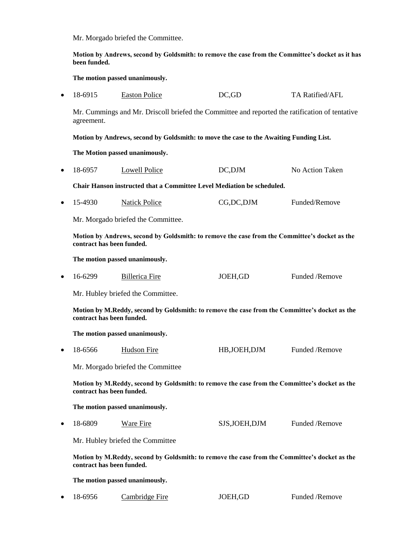Mr. Morgado briefed the Committee.

**Motion by Andrews, second by Goldsmith: to remove the case from the Committee's docket as it has been funded.** 

**The motion passed unanimously.**

• 18-6915 Easton Police DC,GD TA Ratified/AFL

Mr. Cummings and Mr. Driscoll briefed the Committee and reported the ratification of tentative agreement.

**Motion by Andrews, second by Goldsmith: to move the case to the Awaiting Funding List.** 

**The Motion passed unanimously.**

• 18-6957 Lowell Police DC,DJM No Action Taken

**Chair Hanson instructed that a Committee Level Mediation be scheduled.**

• 15-4930 Natick Police CG,DC,DJM Funded/Remove

Mr. Morgado briefed the Committee.

**Motion by Andrews, second by Goldsmith: to remove the case from the Committee's docket as the contract has been funded.** 

**The motion passed unanimously.**

• 16-6299 Billerica Fire JOEH,GD Funded /Remove

Mr. Hubley briefed the Committee.

**Motion by M.Reddy, second by Goldsmith: to remove the case from the Committee's docket as the contract has been funded.** 

**The motion passed unanimously.**

• 18-6566 Hudson Fire HB,JOEH,DJM Funded /Remove

Mr. Morgado briefed the Committee

**Motion by M.Reddy, second by Goldsmith: to remove the case from the Committee's docket as the contract has been funded.** 

**The motion passed unanimously.**

• 18-6809 Ware Fire SJS,JOEH,DJM Funded /Remove

Mr. Hubley briefed the Committee

**Motion by M.Reddy, second by Goldsmith: to remove the case from the Committee's docket as the contract has been funded.** 

**The motion passed unanimously.**

• 18-6956 Cambridge Fire JOEH,GD Funded /Remove